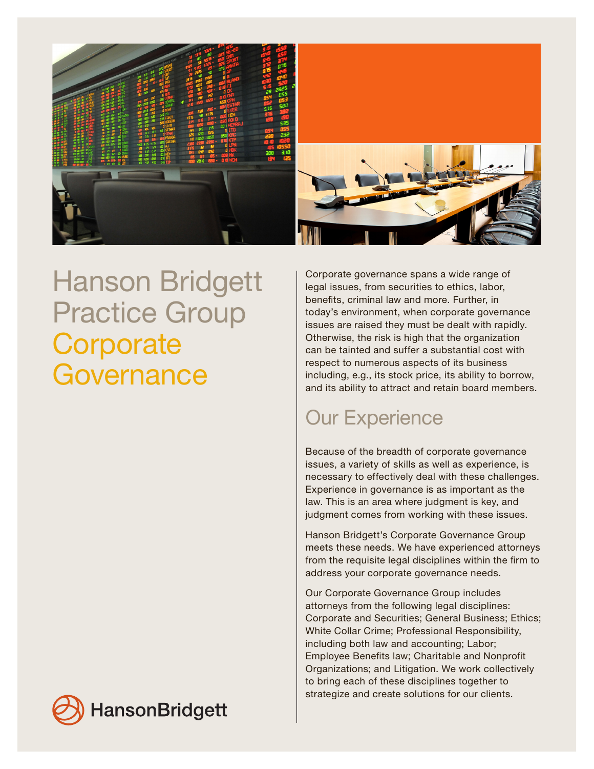

## Hanson Bridgett Practice Group **Corporate Governance**

Corporate governance spans a wide range of legal issues, from securities to ethics, labor, benefits, criminal law and more. Further, in today's environment, when corporate governance issues are raised they must be dealt with rapidly. Otherwise, the risk is high that the organization can be tainted and suffer a substantial cost with respect to numerous aspects of its business including, e.g., its stock price, its ability to borrow, and its ability to attract and retain board members.

## Our Experience

Because of the breadth of corporate governance issues, a variety of skills as well as experience, is necessary to effectively deal with these challenges. Experience in governance is as important as the law. This is an area where judgment is key, and judgment comes from working with these issues.

Hanson Bridgett's Corporate Governance Group meets these needs. We have experienced attorneys from the requisite legal disciplines within the firm to address your corporate governance needs.

Our Corporate Governance Group includes attorneys from the following legal disciplines: Corporate and Securities; General Business; Ethics; White Collar Crime; Professional Responsibility, including both law and accounting; Labor; Employee Benefits law; Charitable and Nonprofit Organizations; and Litigation. We work collectively to bring each of these disciplines together to strategize and create solutions for our clients.